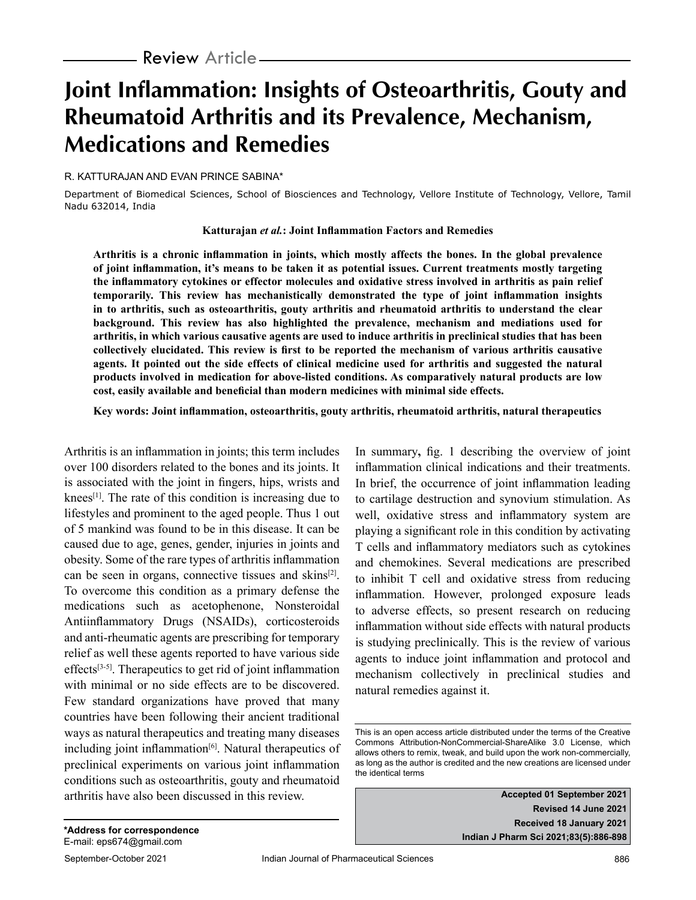# **Joint Inflammation: Insights of Osteoarthritis, Gouty and Rheumatoid Arthritis and its Prevalence, Mechanism, Medications and Remedies**

#### R. KATTURAJAN AND EVAN PRINCE SABINA\*

Department of Biomedical Sciences, School of Biosciences and Technology, Vellore Institute of Technology, Vellore, Tamil Nadu 632014, India

**Katturajan** *et al.***: Joint Inflammation Factors and Remedies**

**Arthritis is a chronic inflammation in joints, which mostly affects the bones. In the global prevalence of joint inflammation, it's means to be taken it as potential issues. Current treatments mostly targeting the inflammatory cytokines or effector molecules and oxidative stress involved in arthritis as pain relief temporarily. This review has mechanistically demonstrated the type of joint inflammation insights in to arthritis, such as osteoarthritis, gouty arthritis and rheumatoid arthritis to understand the clear background. This review has also highlighted the prevalence, mechanism and mediations used for arthritis, in which various causative agents are used to induce arthritis in preclinical studies that has been collectively elucidated. This review is first to be reported the mechanism of various arthritis causative agents. It pointed out the side effects of clinical medicine used for arthritis and suggested the natural products involved in medication for above-listed conditions. As comparatively natural products are low cost, easily available and beneficial than modern medicines with minimal side effects.**

**Key words: Joint inflammation, osteoarthritis, gouty arthritis, rheumatoid arthritis, natural therapeutics**

Arthritis is an inflammation in joints; this term includes over 100 disorders related to the bones and its joints. It is associated with the joint in fingers, hips, wrists and knees<sup>[1]</sup>. The rate of this condition is increasing due to lifestyles and prominent to the aged people. Thus 1 out of 5 mankind was found to be in this disease. It can be caused due to age, genes, gender, injuries in joints and obesity. Some of the rare types of arthritis inflammation can be seen in organs, connective tissues and skins<sup>[2]</sup>. To overcome this condition as a primary defense the medications such as acetophenone, Nonsteroidal Antiinflammatory Drugs (NSAIDs), corticosteroids and anti-rheumatic agents are prescribing for temporary relief as well these agents reported to have various side effects<sup>[3-5]</sup>. Therapeutics to get rid of joint inflammation with minimal or no side effects are to be discovered. Few standard organizations have proved that many countries have been following their ancient traditional ways as natural therapeutics and treating many diseases including joint inflammation $[6]$ . Natural therapeutics of preclinical experiments on various joint inflammation conditions such as osteoarthritis, gouty and rheumatoid arthritis have also been discussed in this review.

In summary**,** fig. 1 describing the overview of joint inflammation clinical indications and their treatments. In brief, the occurrence of joint inflammation leading to cartilage destruction and synovium stimulation. As well, oxidative stress and inflammatory system are playing a significant role in this condition by activating T cells and inflammatory mediators such as cytokines and chemokines. Several medications are prescribed to inhibit T cell and oxidative stress from reducing inflammation. However, prolonged exposure leads to adverse effects, so present research on reducing inflammation without side effects with natural products is studying preclinically. This is the review of various agents to induce joint inflammation and protocol and mechanism collectively in preclinical studies and natural remedies against it.

**Accepted 01 September 2021 Revised 14 June 2021 Received 18 January 2021 Indian J Pharm Sci 2021;83(5):886-898**

This is an open access article distributed under the terms of the Creative Commons Attribution-NonCommercial-ShareAlike 3.0 License, which allows others to remix, tweak, and build upon the work non-commercially, as long as the author is credited and the new creations are licensed under the identical terms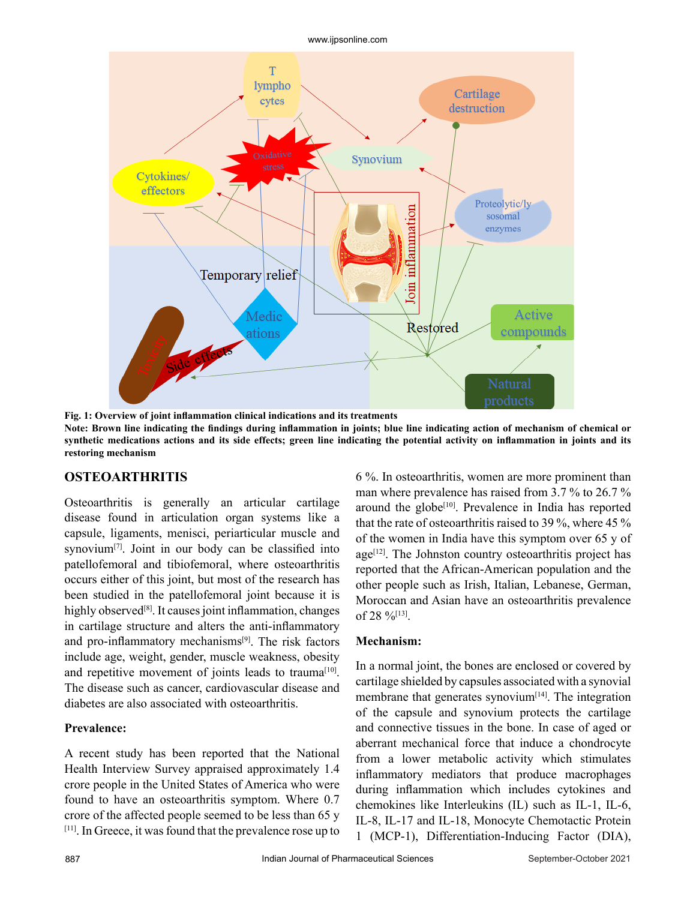www.ijpsonline.com



**Fig. 1: Overview of joint inflammation clinical indications and its treatments Note: Brown line indicating the findings during inflammation in joints; blue line indicating action of mechanism of chemical or synthetic medications actions and its side effects; green line indicating the potential activity on inflammation in joints and its restoring mechanism**

## **OSTEOARTHRITIS**

Osteoarthritis is generally an articular cartilage disease found in articulation organ systems like a capsule, ligaments, menisci, periarticular muscle and synovium<sup>[7]</sup>. Joint in our body can be classified into patellofemoral and tibiofemoral, where osteoarthritis occurs either of this joint, but most of the research has been studied in the patellofemoral joint because it is highly observed<sup>[8]</sup>. It causes joint inflammation, changes in cartilage structure and alters the anti-inflammatory and pro-inflammatory mechanisms<sup>[9]</sup>. The risk factors include age, weight, gender, muscle weakness, obesity and repetitive movement of joints leads to trauma<sup>[10]</sup>. The disease such as cancer, cardiovascular disease and diabetes are also associated with osteoarthritis.

#### **Prevalence:**

A recent study has been reported that the National Health Interview Survey appraised approximately 1.4 crore people in the United States of America who were found to have an osteoarthritis symptom. Where 0.7 crore of the affected people seemed to be less than 65 y [11]. In Greece, it was found that the prevalence rose up to 6 %. In osteoarthritis, women are more prominent than man where prevalence has raised from 3.7 % to 26.7 % around the globe<sup> $[10]$ </sup>. Prevalence in India has reported that the rate of osteoarthritis raised to 39 %, where 45 % of the women in India have this symptom over 65 y of  $age<sup>[12]</sup>$ . The Johnston country osteoarthritis project has reported that the African-American population and the other people such as Irish, Italian, Lebanese, German, Moroccan and Asian have an osteoarthritis prevalence of 28  $\frac{9}{6}$ <sup>[13]</sup>.

#### **Mechanism:**

In a normal joint, the bones are enclosed or covered by cartilage shielded by capsules associated with a synovial membrane that generates synovium $[14]$ . The integration of the capsule and synovium protects the cartilage and connective tissues in the bone. In case of aged or aberrant mechanical force that induce a chondrocyte from a lower metabolic activity which stimulates inflammatory mediators that produce macrophages during inflammation which includes cytokines and chemokines like Interleukins (IL) such as IL-1, IL-6, IL-8, IL-17 and IL-18, Monocyte Chemotactic Protein 1 (MCP-1), Differentiation-Inducing Factor (DIA),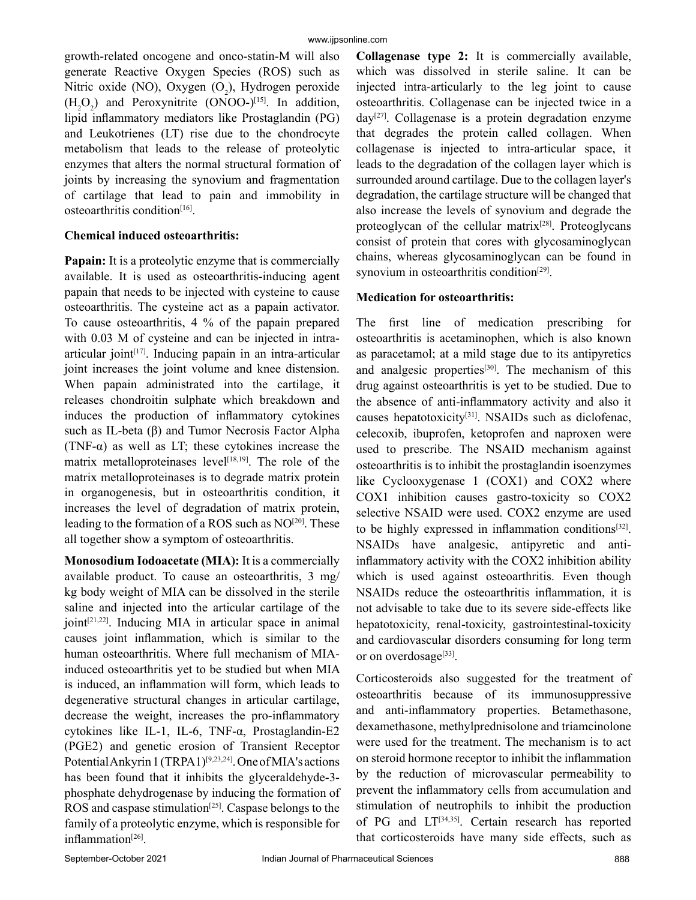growth-related oncogene and onco-statin-M will also generate Reactive Oxygen Species (ROS) such as Nitric oxide (NO), Oxygen  $(O_2)$ , Hydrogen peroxide  $(H_2O_2)$  and Peroxynitrite (ONOO-)<sup>[15]</sup>. In addition, lipid inflammatory mediators like Prostaglandin (PG) and Leukotrienes (LT) rise due to the chondrocyte metabolism that leads to the release of proteolytic enzymes that alters the normal structural formation of joints by increasing the synovium and fragmentation of cartilage that lead to pain and immobility in osteoarthritis condition[16].

## **Chemical induced osteoarthritis:**

**Papain:** It is a proteolytic enzyme that is commercially available. It is used as osteoarthritis-inducing agent papain that needs to be injected with cysteine to cause osteoarthritis. The cysteine act as a papain activator. To cause osteoarthritis, 4 % of the papain prepared with 0.03 M of cysteine and can be injected in intraarticular joint $[17]$ . Inducing papain in an intra-articular joint increases the joint volume and knee distension. When papain administrated into the cartilage, it releases chondroitin sulphate which breakdown and induces the production of inflammatory cytokines such as IL-beta (β) and Tumor Necrosis Factor Alpha (TNF- $\alpha$ ) as well as LT; these cytokines increase the matrix metalloproteinases level<sup>[18,19]</sup>. The role of the matrix metalloproteinases is to degrade matrix protein in organogenesis, but in osteoarthritis condition, it increases the level of degradation of matrix protein, leading to the formation of a ROS such as NO<sup>[20]</sup>. These all together show a symptom of osteoarthritis.

**Monosodium Iodoacetate (MIA):** It is a commercially available product. To cause an osteoarthritis, 3 mg/ kg body weight of MIA can be dissolved in the sterile saline and injected into the articular cartilage of the  $joint^{[21,22]}$ . Inducing MIA in articular space in animal causes joint inflammation, which is similar to the human osteoarthritis. Where full mechanism of MIAinduced osteoarthritis yet to be studied but when MIA is induced, an inflammation will form, which leads to degenerative structural changes in articular cartilage, decrease the weight, increases the pro-inflammatory cytokines like IL-1, IL-6, TNF-α, Prostaglandin-E2 (PGE2) and genetic erosion of Transient Receptor Potential Ankyrin 1 (TRPA1)<sup>[9,23,24]</sup>. One of MIA's actions has been found that it inhibits the glyceraldehyde-3 phosphate dehydrogenase by inducing the formation of ROS and caspase stimulation<sup>[25]</sup>. Caspase belongs to the family of a proteolytic enzyme, which is responsible for inflammation[26].

**Collagenase type 2:** It is commercially available, which was dissolved in sterile saline. It can be injected intra-articularly to the leg joint to cause osteoarthritis. Collagenase can be injected twice in a  $day^{[27]}$ . Collagenase is a protein degradation enzyme that degrades the protein called collagen. When collagenase is injected to intra-articular space, it leads to the degradation of the collagen layer which is surrounded around cartilage. Due to the collagen layer's degradation, the cartilage structure will be changed that also increase the levels of synovium and degrade the proteoglycan of the cellular matrix $[28]$ . Proteoglycans consist of protein that cores with glycosaminoglycan chains, whereas glycosaminoglycan can be found in synovium in osteoarthritis condition<sup>[29]</sup>.

## **Medication for osteoarthritis:**

The first line of medication prescribing for osteoarthritis is acetaminophen, which is also known as paracetamol; at a mild stage due to its antipyretics and analgesic properties<sup>[30]</sup>. The mechanism of this drug against osteoarthritis is yet to be studied. Due to the absence of anti-inflammatory activity and also it causes hepatotoxicity<sup>[31]</sup>. NSAIDs such as diclofenac, celecoxib, ibuprofen, ketoprofen and naproxen were used to prescribe. The NSAID mechanism against osteoarthritis is to inhibit the prostaglandin isoenzymes like Cyclooxygenase 1 (COX1) and COX2 where COX1 inhibition causes gastro-toxicity so COX2 selective NSAID were used. COX2 enzyme are used to be highly expressed in inflammation conditions[32]. NSAIDs have analgesic, antipyretic and antiinflammatory activity with the COX2 inhibition ability which is used against osteoarthritis. Even though NSAIDs reduce the osteoarthritis inflammation, it is not advisable to take due to its severe side-effects like hepatotoxicity, renal-toxicity, gastrointestinal-toxicity and cardiovascular disorders consuming for long term or on overdosage<sup>[33]</sup>.

Corticosteroids also suggested for the treatment of osteoarthritis because of its immunosuppressive and anti-inflammatory properties. Betamethasone, dexamethasone, methylprednisolone and triamcinolone were used for the treatment. The mechanism is to act on steroid hormone receptor to inhibit the inflammation by the reduction of microvascular permeability to prevent the inflammatory cells from accumulation and stimulation of neutrophils to inhibit the production of PG and LT<sup>[34,35]</sup>. Certain research has reported that corticosteroids have many side effects, such as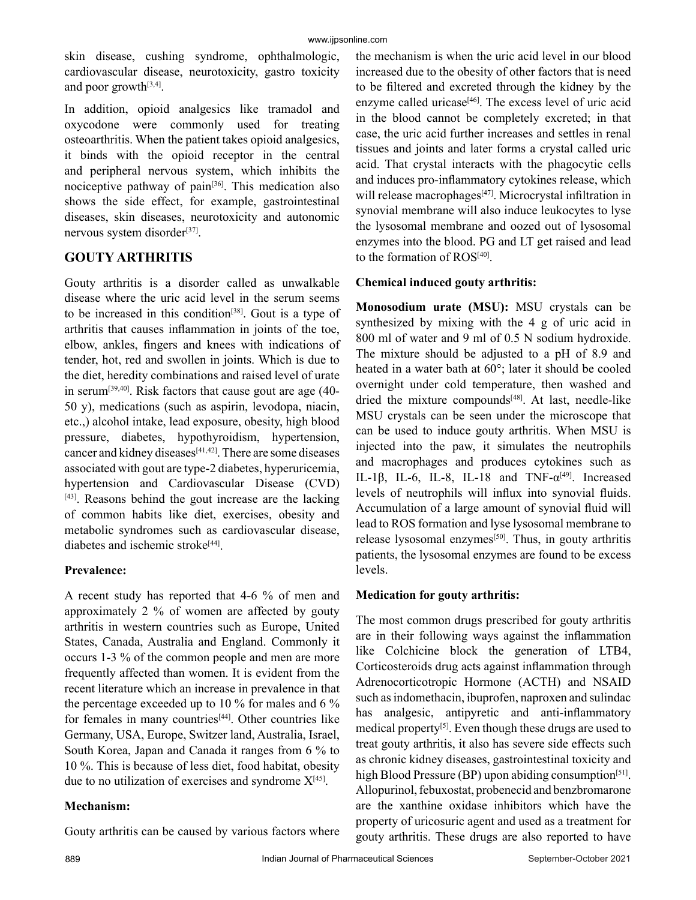skin disease, cushing syndrome, ophthalmologic, cardiovascular disease, neurotoxicity, gastro toxicity and poor growth<sup>[3,4]</sup>.

In addition, opioid analgesics like tramadol and oxycodone were commonly used for treating osteoarthritis. When the patient takes opioid analgesics, it binds with the opioid receptor in the central and peripheral nervous system, which inhibits the nociceptive pathway of pain[36]. This medication also shows the side effect, for example, gastrointestinal diseases, skin diseases, neurotoxicity and autonomic nervous system disorder<sup>[37]</sup>.

## **GOUTY ARTHRITIS**

Gouty arthritis is a disorder called as unwalkable disease where the uric acid level in the serum seems to be increased in this condition<sup>[38]</sup>. Gout is a type of arthritis that causes inflammation in joints of the toe, elbow, ankles, fingers and knees with indications of tender, hot, red and swollen in joints. Which is due to the diet, heredity combinations and raised level of urate in serum<sup>[39,40]</sup>. Risk factors that cause gout are age  $(40-$ 50 y), medications (such as aspirin, levodopa, niacin, etc.,) alcohol intake, lead exposure, obesity, high blood pressure, diabetes, hypothyroidism, hypertension, cancer and kidney diseases<sup>[41,42]</sup>. There are some diseases associated with gout are type-2 diabetes, hyperuricemia, hypertension and Cardiovascular Disease (CVD) [43]. Reasons behind the gout increase are the lacking of common habits like diet, exercises, obesity and metabolic syndromes such as cardiovascular disease, diabetes and ischemic stroke<sup>[44]</sup>.

## **Prevalence:**

A recent study has reported that 4-6 % of men and approximately 2 % of women are affected by gouty arthritis in western countries such as Europe, United States, Canada, Australia and England. Commonly it occurs 1-3 % of the common people and men are more frequently affected than women. It is evident from the recent literature which an increase in prevalence in that the percentage exceeded up to 10 % for males and 6 % for females in many countries<sup>[44]</sup>. Other countries like Germany, USA, Europe, Switzer land, Australia, Israel, South Korea, Japan and Canada it ranges from 6 % to 10 %. This is because of less diet, food habitat, obesity due to no utilization of exercises and syndrome  $X^{[45]}$ .

## **Mechanism:**

Gouty arthritis can be caused by various factors where

the mechanism is when the uric acid level in our blood increased due to the obesity of other factors that is need to be filtered and excreted through the kidney by the enzyme called uricase<sup>[46]</sup>. The excess level of uric acid in the blood cannot be completely excreted; in that case, the uric acid further increases and settles in renal tissues and joints and later forms a crystal called uric acid. That crystal interacts with the phagocytic cells and induces pro-inflammatory cytokines release, which will release macrophages<sup>[47]</sup>. Microcrystal infiltration in synovial membrane will also induce leukocytes to lyse the lysosomal membrane and oozed out of lysosomal enzymes into the blood. PG and LT get raised and lead to the formation of ROS<sup>[40]</sup>.

## **Chemical induced gouty arthritis:**

**Monosodium urate (MSU):** MSU crystals can be synthesized by mixing with the 4 g of uric acid in 800 ml of water and 9 ml of 0.5 N sodium hydroxide. The mixture should be adjusted to a pH of 8.9 and heated in a water bath at 60°; later it should be cooled overnight under cold temperature, then washed and dried the mixture compounds<sup>[48]</sup>. At last, needle-like MSU crystals can be seen under the microscope that can be used to induce gouty arthritis. When MSU is injected into the paw, it simulates the neutrophils and macrophages and produces cytokines such as IL-1 $\beta$ , IL-6, IL-8, IL-18 and TNF- $\alpha^{[49]}$ . Increased levels of neutrophils will influx into synovial fluids. Accumulation of a large amount of synovial fluid will lead to ROS formation and lyse lysosomal membrane to release lysosomal enzymes<sup>[50]</sup>. Thus, in gouty arthritis patients, the lysosomal enzymes are found to be excess levels.

## **Medication for gouty arthritis:**

The most common drugs prescribed for gouty arthritis are in their following ways against the inflammation like Colchicine block the generation of LTB4, Corticosteroids drug acts against inflammation through Adrenocorticotropic Hormone (ACTH) and NSAID such as indomethacin, ibuprofen, naproxen and sulindac has analgesic, antipyretic and anti-inflammatory medical property<sup>[5]</sup>. Even though these drugs are used to treat gouty arthritis, it also has severe side effects such as chronic kidney diseases, gastrointestinal toxicity and high Blood Pressure (BP) upon abiding consumption<sup>[51]</sup>. Allopurinol, febuxostat, probenecid and benzbromarone are the xanthine oxidase inhibitors which have the property of uricosuric agent and used as a treatment for gouty arthritis. These drugs are also reported to have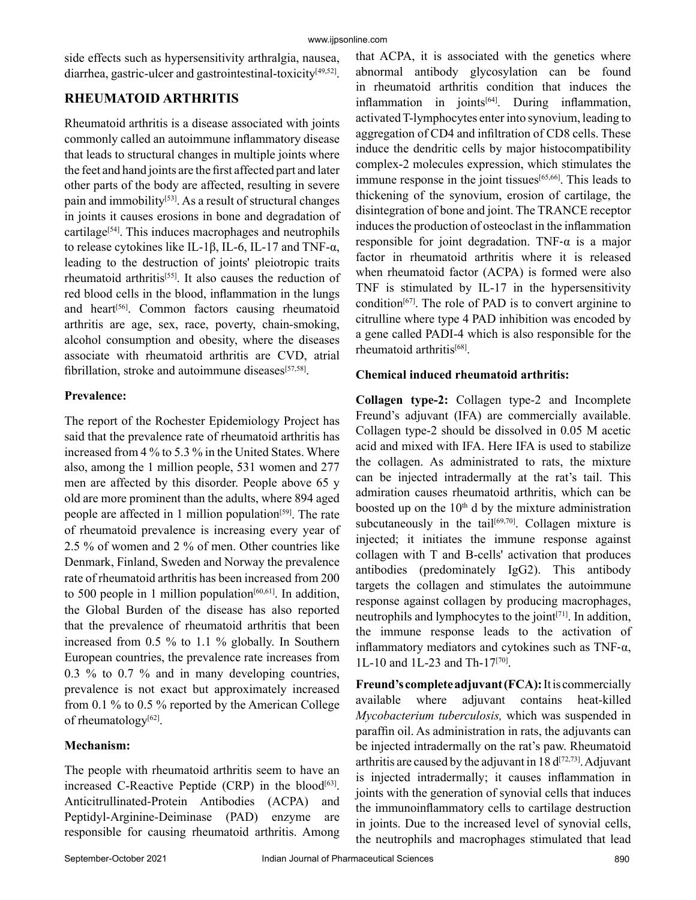side effects such as hypersensitivity arthralgia, nausea, diarrhea, gastric-ulcer and gastrointestinal-toxicity[49,52].

## **RHEUMATOID ARTHRITIS**

Rheumatoid arthritis is a disease associated with joints commonly called an autoimmune inflammatory disease that leads to structural changes in multiple joints where the feet and hand joints are the first affected part and later other parts of the body are affected, resulting in severe pain and immobility<sup>[53]</sup>. As a result of structural changes in joints it causes erosions in bone and degradation of cartilage<sup>[54]</sup>. This induces macrophages and neutrophils to release cytokines like IL-1β, IL-6, IL-17 and TNF-α, leading to the destruction of joints' pleiotropic traits rheumatoid arthritis<sup>[55]</sup>. It also causes the reduction of red blood cells in the blood, inflammation in the lungs and heart<sup>[56]</sup>. Common factors causing rheumatoid arthritis are age, sex, race, poverty, chain-smoking, alcohol consumption and obesity, where the diseases associate with rheumatoid arthritis are CVD, atrial fibrillation, stroke and autoimmune diseases $[57,58]$ .

#### **Prevalence:**

The report of the Rochester Epidemiology Project has said that the prevalence rate of rheumatoid arthritis has increased from 4 % to 5.3 % in the United States. Where also, among the 1 million people, 531 women and 277 men are affected by this disorder. People above 65 y old are more prominent than the adults, where 894 aged people are affected in 1 million population<sup>[59]</sup>. The rate of rheumatoid prevalence is increasing every year of 2.5 % of women and 2 % of men. Other countries like Denmark, Finland, Sweden and Norway the prevalence rate of rheumatoid arthritis has been increased from 200 to 500 people in 1 million population $[60, 61]$ . In addition, the Global Burden of the disease has also reported that the prevalence of rheumatoid arthritis that been increased from 0.5 % to 1.1 % globally. In Southern European countries, the prevalence rate increases from 0.3 % to 0.7 % and in many developing countries, prevalence is not exact but approximately increased from 0.1 % to 0.5 % reported by the American College of rheumatology<sup>[62]</sup>.

#### **Mechanism:**

The people with rheumatoid arthritis seem to have an increased C-Reactive Peptide  $(CRP)$  in the blood<sup>[63]</sup>. Anticitrullinated-Protein Antibodies (ACPA) and Peptidyl-Arginine-Deiminase (PAD) enzyme are responsible for causing rheumatoid arthritis. Among that ACPA, it is associated with the genetics where abnormal antibody glycosylation can be found in rheumatoid arthritis condition that induces the inflammation in joints $[64]$ . During inflammation, activated T-lymphocytes enter into synovium, leading to aggregation of CD4 and infiltration of CD8 cells. These induce the dendritic cells by major histocompatibility complex-2 molecules expression, which stimulates the immune response in the joint tissues<sup>[65,66]</sup>. This leads to thickening of the synovium, erosion of cartilage, the disintegration of bone and joint. The TRANCE receptor induces the production of osteoclast in the inflammation responsible for joint degradation. TNF- $\alpha$  is a major factor in rheumatoid arthritis where it is released when rheumatoid factor (ACPA) is formed were also TNF is stimulated by IL-17 in the hypersensitivity condition<sup>[67]</sup>. The role of PAD is to convert arginine to citrulline where type 4 PAD inhibition was encoded by a gene called PADI-4 which is also responsible for the rheumatoid arthritis[68].

## **Chemical induced rheumatoid arthritis:**

**Collagen type-2:** Collagen type-2 and Incomplete Freund's adjuvant (IFA) are commercially available. Collagen type-2 should be dissolved in 0.05 M acetic acid and mixed with IFA. Here IFA is used to stabilize the collagen. As administrated to rats, the mixture can be injected intradermally at the rat's tail. This admiration causes rheumatoid arthritis, which can be boosted up on the  $10<sup>th</sup>$  d by the mixture administration subcutaneously in the tail $[69,70]$ . Collagen mixture is injected; it initiates the immune response against collagen with T and B-cells' activation that produces antibodies (predominately IgG2). This antibody targets the collagen and stimulates the autoimmune response against collagen by producing macrophages, neutrophils and lymphocytes to the joint<sup>[71]</sup>. In addition, the immune response leads to the activation of inflammatory mediators and cytokines such as TNF- $\alpha$ , 1L-10 and 1L-23 and Th-17[70].

**Freund's complete adjuvant (FCA):** It is commercially available where adjuvant contains heat-killed *Mycobacterium tuberculosis,* which was suspended in paraffin oil. As administration in rats, the adjuvants can be injected intradermally on the rat's paw. Rheumatoid arthritis are caused by the adjuvant in 18  $d^{[72,73]}$ . Adjuvant is injected intradermally; it causes inflammation in joints with the generation of synovial cells that induces the immunoinflammatory cells to cartilage destruction in joints. Due to the increased level of synovial cells, the neutrophils and macrophages stimulated that lead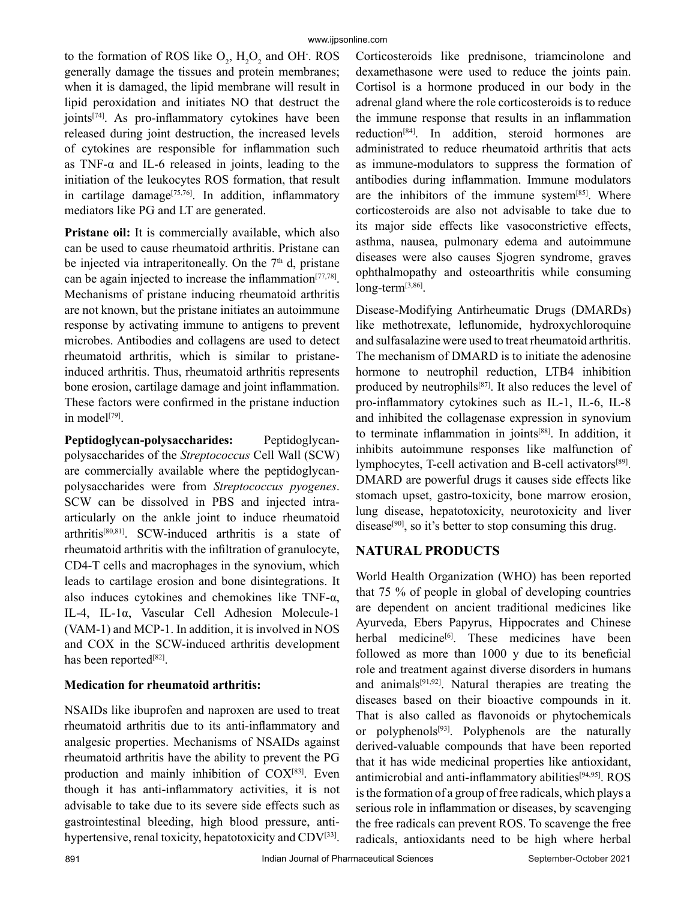to the formation of ROS like  $O_2$ ,  $H_2O_2$  and OH. ROS generally damage the tissues and protein membranes; when it is damaged, the lipid membrane will result in lipid peroxidation and initiates NO that destruct the joints<sup>[74]</sup>. As pro-inflammatory cytokines have been released during joint destruction, the increased levels of cytokines are responsible for inflammation such as TNF-α and IL-6 released in joints, leading to the initiation of the leukocytes ROS formation, that result in cartilage damage<sup>[75,76]</sup>. In addition, inflammatory mediators like PG and LT are generated.

**Pristane oil:** It is commercially available, which also can be used to cause rheumatoid arthritis. Pristane can be injected via intraperitoneally. On the  $7<sup>th</sup>$  d, pristane can be again injected to increase the inflammation $[77,78]$ . Mechanisms of pristane inducing rheumatoid arthritis are not known, but the pristane initiates an autoimmune response by activating immune to antigens to prevent microbes. Antibodies and collagens are used to detect rheumatoid arthritis, which is similar to pristaneinduced arthritis. Thus, rheumatoid arthritis represents bone erosion, cartilage damage and joint inflammation. These factors were confirmed in the pristane induction in model<sup>[79]</sup>.

**Peptidoglycan-polysaccharides:** Peptidoglycanpolysaccharides of the *Streptococcus* Cell Wall (SCW) are commercially available where the peptidoglycanpolysaccharides were from *Streptococcus pyogenes*. SCW can be dissolved in PBS and injected intraarticularly on the ankle joint to induce rheumatoid arthritis[80,81]. SCW-induced arthritis is a state of rheumatoid arthritis with the infiltration of granulocyte, CD4-T cells and macrophages in the synovium, which leads to cartilage erosion and bone disintegrations. It also induces cytokines and chemokines like TNF- $\alpha$ , IL-4, IL-1α, Vascular Cell Adhesion Molecule-1 (VAM-1) and MCP-1. In addition, it is involved in NOS and COX in the SCW-induced arthritis development has been reported<sup>[82]</sup>.

## **Medication for rheumatoid arthritis:**

NSAIDs like ibuprofen and naproxen are used to treat rheumatoid arthritis due to its anti-inflammatory and analgesic properties. Mechanisms of NSAIDs against rheumatoid arthritis have the ability to prevent the PG production and mainly inhibition of  $COX^{[83]}$ . Even though it has anti-inflammatory activities, it is not advisable to take due to its severe side effects such as gastrointestinal bleeding, high blood pressure, antihypertensive, renal toxicity, hepatotoxicity and CDV<sup>[33]</sup>.

Corticosteroids like prednisone, triamcinolone and dexamethasone were used to reduce the joints pain. Cortisol is a hormone produced in our body in the adrenal gland where the role corticosteroids is to reduce the immune response that results in an inflammation reduction[84]. In addition, steroid hormones are administrated to reduce rheumatoid arthritis that acts as immune-modulators to suppress the formation of antibodies during inflammation. Immune modulators are the inhibitors of the immune system $[85]$ . Where corticosteroids are also not advisable to take due to its major side effects like vasoconstrictive effects, asthma, nausea, pulmonary edema and autoimmune diseases were also causes Sjogren syndrome, graves ophthalmopathy and osteoarthritis while consuming long-term<sup>[3,86]</sup>.

Disease-Modifying Antirheumatic Drugs (DMARDs) like methotrexate, leflunomide, hydroxychloroquine and sulfasalazine were used to treat rheumatoid arthritis. The mechanism of DMARD is to initiate the adenosine hormone to neutrophil reduction, LTB4 inhibition produced by neutrophils<sup>[87]</sup>. It also reduces the level of pro-inflammatory cytokines such as IL-1, IL-6, IL-8 and inhibited the collagenase expression in synovium to terminate inflammation in joints<sup>[88]</sup>. In addition, it inhibits autoimmune responses like malfunction of lymphocytes, T-cell activation and B-cell activators[89]. DMARD are powerful drugs it causes side effects like stomach upset, gastro-toxicity, bone marrow erosion, lung disease, hepatotoxicity, neurotoxicity and liver disease<sup>[90]</sup>, so it's better to stop consuming this drug.

## **NATURAL PRODUCTS**

World Health Organization (WHO) has been reported that 75 % of people in global of developing countries are dependent on ancient traditional medicines like Ayurveda, Ebers Papyrus, Hippocrates and Chinese herbal medicine<sup>[6]</sup>. These medicines have been followed as more than 1000 y due to its beneficial role and treatment against diverse disorders in humans and animals $[91,92]$ . Natural therapies are treating the diseases based on their bioactive compounds in it. That is also called as flavonoids or phytochemicals or polyphenols<sup>[93]</sup>. Polyphenols are the naturally derived-valuable compounds that have been reported that it has wide medicinal properties like antioxidant, antimicrobial and anti-inflammatory abilities<sup>[94,95]</sup>. ROS is the formation of a group of free radicals, which plays a serious role in inflammation or diseases, by scavenging the free radicals can prevent ROS. To scavenge the free radicals, antioxidants need to be high where herbal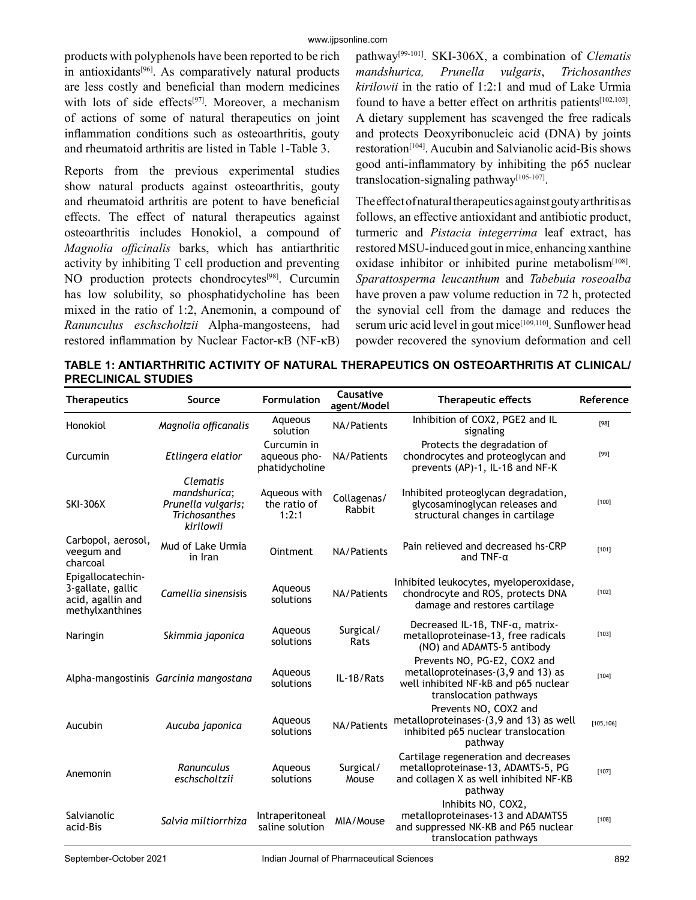products with polyphenols have been reported to be rich in antioxidants[96]. As comparatively natural products are less costly and beneficial than modern medicines with lots of side effects<sup>[97]</sup>. Moreover, a mechanism of actions of some of natural therapeutics on joint inflammation conditions such as osteoarthritis, gouty and rheumatoid arthritis are listed in Table 1-Table 3.

Reports from the previous experimental studies show natural products against osteoarthritis, gouty and rheumatoid arthritis are potent to have beneficial effects. The effect of natural therapeutics against osteoarthritis includes Honokiol, a compound of *Magnolia officinalis* barks, which has antiarthritic activity by inhibiting T cell production and preventing NO production protects chondrocytes<sup>[98]</sup>. Curcumin has low solubility, so phosphatidycholine has been mixed in the ratio of 1:2, Anemonin, a compound of *Ranunculus eschscholtzii* Alpha-mangosteens, had restored inflammation by Nuclear Factor-κB (NF-κB)

pathway[99-101]. SKI-306X, a combination of *Clematis mandshurica, Prunella vulgaris*, *Trichosanthes kirilowii* in the ratio of 1:2:1 and mud of Lake Urmia found to have a better effect on arthritis patients<sup> $[102,103]$ </sup>. A dietary supplement has scavenged the free radicals and protects Deoxyribonucleic acid (DNA) by joints restoration[104]. Aucubin and Salvianolic acid-Bis shows good anti-inflammatory by inhibiting the p65 nuclear translocation-signaling pathway<sup>[105-107]</sup>.

The effect of natural therapeutics against gouty arthritis as follows, an effective antioxidant and antibiotic product, turmeric and *Pistacia integerrima* leaf extract, has restored MSU-induced gout in mice, enhancing xanthine oxidase inhibitor or inhibited purine metabolism<sup>[108]</sup>. *Sparattosperma leucanthum* and *Tabebuia roseoalba*  have proven a paw volume reduction in 72 h, protected the synovial cell from the damage and reduces the serum uric acid level in gout mice<sup>[109,110]</sup>. Sunflower head powder recovered the synovium deformation and cell

**TABLE 1: ANTIARTHRITIC ACTIVITY OF NATURAL THERAPEUTICS ON OSTEOARTHRITIS AT CLINICAL/ PRECLINICAL STUDIES** 

| <b>Therapeutics</b>                                                            | Source                                                                                     | Formulation                                   | Causative<br>agent/Model | <b>Therapeutic effects</b>                                                                                                           | Reference  |
|--------------------------------------------------------------------------------|--------------------------------------------------------------------------------------------|-----------------------------------------------|--------------------------|--------------------------------------------------------------------------------------------------------------------------------------|------------|
| Honokiol                                                                       | Magnolia officanalis                                                                       | Aqueous<br>solution                           | NA/Patients              | Inhibition of COX2, PGE2 and IL<br>signaling                                                                                         | [98]       |
| Curcumin                                                                       | Etlingera elatior                                                                          | Curcumin in<br>aqueous pho-<br>phatidycholine | NA/Patients              | Protects the degradation of<br>chondrocytes and proteoglycan and<br>prevents (AP)-1, IL-1B and NF-K                                  | $[99]$     |
| <b>SKI-306X</b>                                                                | <b>Clematis</b><br>mandshurica;<br>Prunella vulgaris;<br><b>Trichosanthes</b><br>kirilowii | Aqueous with<br>the ratio of<br>1:2:1         | Collagenas/<br>Rabbit    | Inhibited proteoglycan degradation,<br>glycosaminoglycan releases and<br>structural changes in cartilage                             | $[100]$    |
| Carbopol, aerosol,<br>veegum and<br>charcoal                                   | Mud of Lake Urmia<br>in Iran                                                               | <b>Ointment</b>                               | NA/Patients              | Pain relieved and decreased hs-CRP<br>and $TNF$ - $\alpha$                                                                           | [101]      |
| Epigallocatechin-<br>3-gallate, gallic<br>acid, agallin and<br>methylxanthines | Camellia sinensisis                                                                        | Aqueous<br>solutions                          | NA/Patients              | Inhibited leukocytes, myeloperoxidase,<br>chondrocyte and ROS, protects DNA<br>damage and restores cartilage                         | $[102]$    |
| Naringin                                                                       | Skimmia japonica                                                                           | Aqueous<br>solutions                          | Surgical/<br>Rats        | Decreased IL-1B, TNF-a, matrix-<br>metalloproteinase-13, free radicals<br>(NO) and ADAMTS-5 antibody                                 | $[103]$    |
|                                                                                | Alpha-mangostinis Garcinia mangostana                                                      | Aqueous<br>solutions                          | IL-1B/Rats               | Prevents NO, PG-E2, COX2 and<br>metalloproteinases-(3,9 and 13) as<br>well inhibited NF-kB and p65 nuclear<br>translocation pathways | $[104]$    |
| Aucubin                                                                        | Aucuba japonica                                                                            | Aqueous<br>solutions                          | NA/Patients              | Prevents NO, COX2 and<br>metalloproteinases-(3,9 and 13) as well<br>inhibited p65 nuclear translocation<br>pathway                   | [105, 106] |
| Anemonin                                                                       | Ranunculus<br>eschscholtzii                                                                | Aqueous<br>solutions                          | Surgical/<br>Mouse       | Cartilage regeneration and decreases<br>metalloproteinase-13, ADAMTS-5, PG<br>and collagen X as well inhibited NF-KB<br>pathway      | $[107]$    |
| Salvianolic<br>acid-Bis                                                        | Salvia miltiorrhiza                                                                        | Intraperitoneal<br>saline solution            | MIA/Mouse                | Inhibits NO, COX2,<br>metalloproteinases-13 and ADAMTS5<br>and suppressed NK-KB and P65 nuclear<br>translocation pathways            | $[108]$    |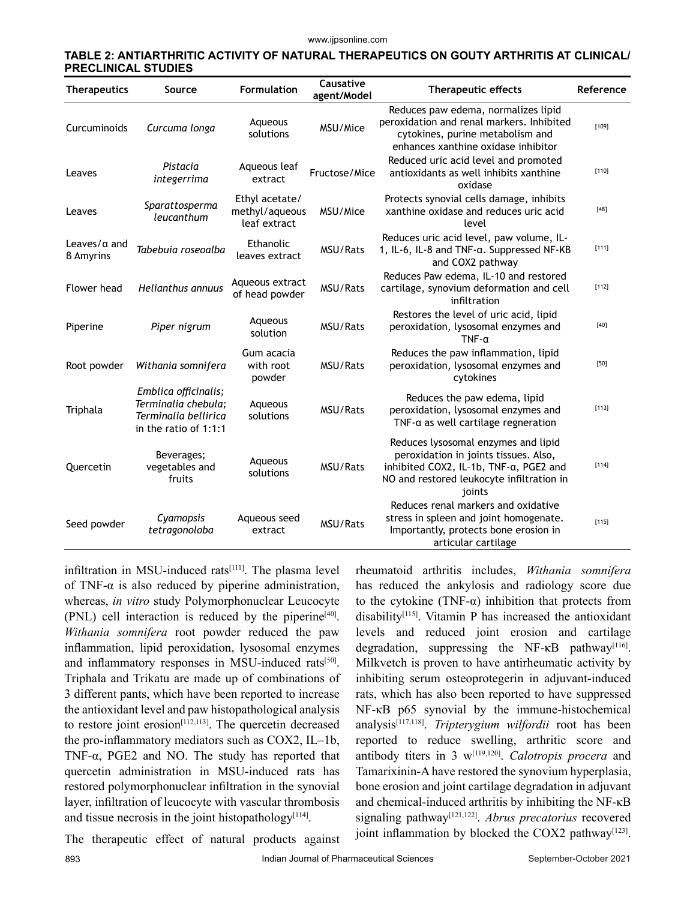#### **TABLE 2: ANTIARTHRITIC ACTIVITY OF NATURAL THERAPEUTICS ON GOUTY ARTHRITIS AT CLINICAL/ PRECLINICAL STUDIES**

| <b>Therapeutics</b>                      | Source                                                                                       | <b>Formulation</b>                               | Causative<br>agent/Model | Therapeutic effects                                                                                                                                                           | Reference |
|------------------------------------------|----------------------------------------------------------------------------------------------|--------------------------------------------------|--------------------------|-------------------------------------------------------------------------------------------------------------------------------------------------------------------------------|-----------|
| Curcuminoids                             | Curcuma longa                                                                                | Aqueous<br>solutions                             | MSU/Mice                 | Reduces paw edema, normalizes lipid<br>peroxidation and renal markers. Inhibited<br>cytokines, purine metabolism and<br>enhances xanthine oxidase inhibitor                   | $[109]$   |
| Leaves                                   | Pistacia<br>integerrima                                                                      | Aqueous leaf<br>extract                          | Fructose/Mice            | Reduced uric acid level and promoted<br>antioxidants as well inhibits xanthine<br>oxidase                                                                                     | $[110]$   |
| Leaves                                   | Sparattosperma<br>leucanthum                                                                 | Ethyl acetate/<br>methyl/aqueous<br>leaf extract | MSU/Mice                 | Protects synovial cells damage, inhibits<br>xanthine oxidase and reduces uric acid<br>level                                                                                   | $[48]$    |
| Leaves/ $\alpha$ and<br><b>B</b> Amyrins | Tabebuia roseoalba                                                                           | Ethanolic<br>leaves extract                      | MSU/Rats                 | Reduces uric acid level, paw volume, IL-<br>1, IL-6, IL-8 and TNF-a. Suppressed NF-KB<br>and COX2 pathway                                                                     | $[111]$   |
| Flower head                              | Helianthus annuus                                                                            | Aqueous extract<br>of head powder                | MSU/Rats                 | Reduces Paw edema, IL-10 and restored<br>cartilage, synovium deformation and cell<br>infiltration                                                                             | $[112]$   |
| Piperine                                 | Piper nigrum                                                                                 | Aqueous<br>solution                              | MSU/Rats                 | Restores the level of uric acid, lipid<br>peroxidation, lysosomal enzymes and<br>$TNF - \alpha$                                                                               | $[40]$    |
| Root powder                              | Withania somnifera                                                                           | Gum acacia<br>with root<br>powder                | MSU/Rats                 | Reduces the paw inflammation, lipid<br>peroxidation, lysosomal enzymes and<br>cytokines                                                                                       | $[50]$    |
| Triphala                                 | Emblica officinalis;<br>Terminalia chebula:<br>Terminalia bellirica<br>in the ratio of 1:1:1 | Aqueous<br>solutions                             | MSU/Rats                 | Reduces the paw edema, lipid<br>peroxidation, lysosomal enzymes and<br>TNF- $\alpha$ as well cartilage regneration                                                            | $[113]$   |
| Quercetin                                | Beverages;<br>vegetables and<br>fruits                                                       | Aqueous<br>solutions                             | MSU/Rats                 | Reduces lysosomal enzymes and lipid<br>peroxidation in joints tissues. Also,<br>inhibited COX2, IL-1b, TNF-a, PGE2 and<br>NO and restored leukocyte infiltration in<br>joints | $[114]$   |
| Seed powder                              | Cyamopsis<br>tetragonoloba                                                                   | Aqueous seed<br>extract                          | MSU/Rats                 | Reduces renal markers and oxidative<br>stress in spleen and joint homogenate.<br>Importantly, protects bone erosion in<br>articular cartilage                                 | $[115]$   |

infiltration in MSU-induced rats $[111]$ . The plasma level of TNF- $\alpha$  is also reduced by piperine administration, whereas, *in vitro* study Polymorphonuclear Leucocyte  $(PNL)$  cell interaction is reduced by the piperine<sup>[40]</sup>. *Withania somnifera* root powder reduced the paw inflammation, lipid peroxidation, lysosomal enzymes and inflammatory responses in MSU-induced rats<sup>[50]</sup>. Triphala and Trikatu are made up of combinations of 3 different pants, which have been reported to increase the antioxidant level and paw histopathological analysis to restore joint erosion $[112, 113]$ . The quercetin decreased the pro-inflammatory mediators such as COX2, IL–1b, TNF-α, PGE2 and NO. The study has reported that quercetin administration in MSU-induced rats has restored polymorphonuclear infiltration in the synovial layer, infiltration of leucocyte with vascular thrombosis and tissue necrosis in the joint histopathology<sup>[114]</sup>.

rheumatoid arthritis includes, *Withania somnifera*  has reduced the ankylosis and radiology score due to the cytokine (TNF- $\alpha$ ) inhibition that protects from disability[115]. Vitamin P has increased the antioxidant levels and reduced joint erosion and cartilage degradation, suppressing the NF- $\kappa$ B pathway<sup>[116]</sup>. Milkvetch is proven to have antirheumatic activity by inhibiting serum osteoprotegerin in adjuvant-induced rats, which has also been reported to have suppressed NF-κB p65 synovial by the immune-histochemical analysis[117,118]. *Tripterygium wilfordii* root has been reported to reduce swelling, arthritic score and antibody titers in 3 w[119,120]. *Calotropis procera* and Tamarixinin-A have restored the synovium hyperplasia, bone erosion and joint cartilage degradation in adjuvant and chemical-induced arthritis by inhibiting the NF-κB signaling pathway[121,122]. *Abrus precatorius* recovered joint inflammation by blocked the COX2 pathway<sup>[123]</sup>.

The therapeutic effect of natural products against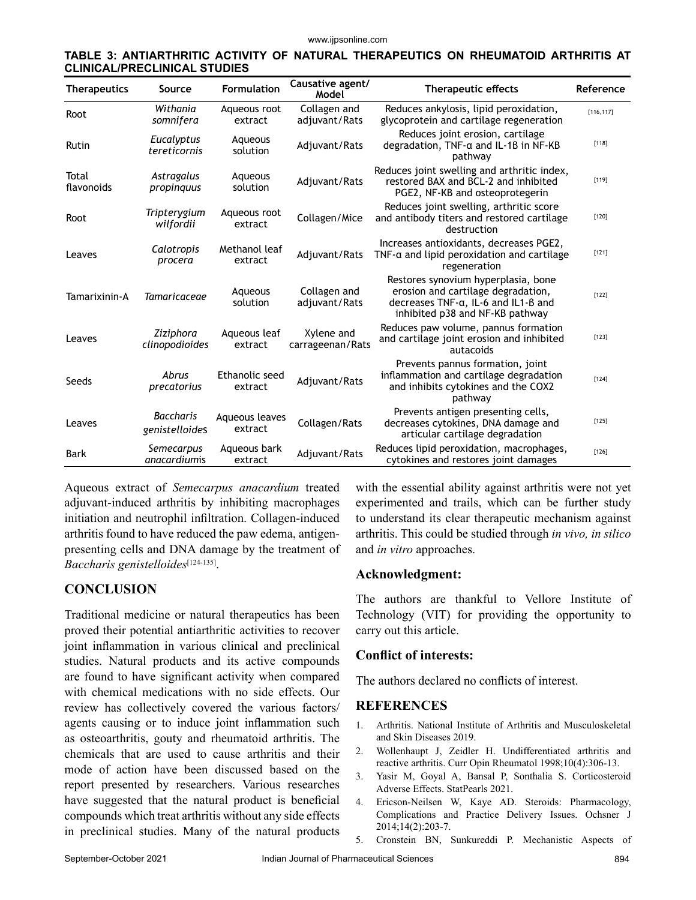| TABLE 3: ANTIARTHRITIC ACTIVITY OF NATURAL THERAPEUTICS ON RHEUMATOID ARTHRITIS AT |  |  |  |
|------------------------------------------------------------------------------------|--|--|--|
| <b>CLINICAL/PRECLINICAL STUDIES</b>                                                |  |  |  |

| <b>Therapeutics</b> | Source                             | <b>Formulation</b>        | Causative agent/<br>Model      | <b>Therapeutic effects</b>                                                                                                                             | Reference  |
|---------------------|------------------------------------|---------------------------|--------------------------------|--------------------------------------------------------------------------------------------------------------------------------------------------------|------------|
| Root                | Withania<br>somnifera              | Aqueous root<br>extract   | Collagen and<br>adjuvant/Rats  | Reduces ankylosis, lipid peroxidation,<br>glycoprotein and cartilage regeneration                                                                      | [116, 117] |
| Rutin               | Eucalyptus<br>tereticornis         | Aqueous<br>solution       | Adjuvant/Rats                  | Reduces joint erosion, cartilage<br>degradation, TNF-a and IL-18 in NF-KB<br>pathway                                                                   | $[118]$    |
| Total<br>flavonoids | Astragalus<br>propinguus           | Aqueous<br>solution       | Adjuvant/Rats                  | Reduces joint swelling and arthritic index,<br>restored BAX and BCL-2 and inhibited<br>PGE2, NF-KB and osteoprotegerin                                 | $[119]$    |
| Root                | Tripterygium<br>wilfordii          | Aqueous root<br>extract   | Collagen/Mice                  | Reduces joint swelling, arthritic score<br>and antibody titers and restored cartilage<br>destruction                                                   | $[120]$    |
| Leaves              | Calotropis<br>procera              | Methanol leaf<br>extract  | Adjuvant/Rats                  | Increases antioxidants, decreases PGE2,<br>$TNF$ - $\alpha$ and lipid peroxidation and cartilage<br>regeneration                                       | $[121]$    |
| Tamarixinin-A       | <b>Tamaricaceae</b>                | Aqueous<br>solution       | Collagen and<br>adjuvant/Rats  | Restores synovium hyperplasia, bone<br>erosion and cartilage degradation,<br>decreases $TNF-a$ , IL-6 and IL1-B and<br>inhibited p38 and NF-KB pathway | $[122]$    |
| Leaves              | Ziziphora<br>clinopodioides        | Aqueous leaf<br>extract   | Xylene and<br>carrageenan/Rats | Reduces paw volume, pannus formation<br>and cartilage joint erosion and inhibited<br>autacoids                                                         | $[123]$    |
| Seeds               | Abrus<br>precatorius               | Ethanolic seed<br>extract | Adjuvant/Rats                  | Prevents pannus formation, joint<br>inflammation and cartilage degradation<br>and inhibits cytokines and the COX2<br>pathway                           | $[124]$    |
| Leaves              | <b>Baccharis</b><br>genistelloides | Aqueous leaves<br>extract | Collagen/Rats                  | Prevents antigen presenting cells,<br>decreases cytokines, DNA damage and<br>articular cartilage degradation                                           | $[125]$    |
| Bark                | Semecarpus<br>anacardiumis         | Aqueous bark<br>extract   | Adjuvant/Rats                  | Reduces lipid peroxidation, macrophages,<br>cytokines and restores joint damages                                                                       | $[126]$    |

Aqueous extract of *Semecarpus anacardium* treated adjuvant-induced arthritis by inhibiting macrophages initiation and neutrophil infiltration. Collagen-induced arthritis found to have reduced the paw edema, antigenpresenting cells and DNA damage by the treatment of *Baccharis genistelloides*[124-135].

#### **CONCLUSION**

Traditional medicine or natural therapeutics has been proved their potential antiarthritic activities to recover joint inflammation in various clinical and preclinical studies. Natural products and its active compounds are found to have significant activity when compared with chemical medications with no side effects. Our review has collectively covered the various factors/ agents causing or to induce joint inflammation such as osteoarthritis, gouty and rheumatoid arthritis. The chemicals that are used to cause arthritis and their mode of action have been discussed based on the report presented by researchers. Various researches have suggested that the natural product is beneficial compounds which treat arthritis without any side effects in preclinical studies. Many of the natural products with the essential ability against arthritis were not yet experimented and trails, which can be further study to understand its clear therapeutic mechanism against arthritis. This could be studied through *in vivo, in silico*  and *in vitro* approaches.

#### **Acknowledgment:**

The authors are thankful to Vellore Institute of Technology (VIT) for providing the opportunity to carry out this article.

#### **Conflict of interests:**

The authors declared no conflicts of interest.

#### **REFERENCES**

- 1. Arthritis. National Institute of Arthritis and Musculoskeletal and Skin Diseases 2019.
- 2. Wollenhaupt J, Zeidler H. Undifferentiated arthritis and reactive arthritis. Curr Opin Rheumatol 1998;10(4):306-13.
- 3. Yasir M, Goyal A, Bansal P, Sonthalia S. Corticosteroid Adverse Effects. StatPearls 2021.
- 4. Ericson-Neilsen W, Kaye AD. Steroids: Pharmacology, Complications and Practice Delivery Issues. Ochsner J 2014;14(2):203-7.
- 5. Cronstein BN, Sunkureddi P. Mechanistic Aspects of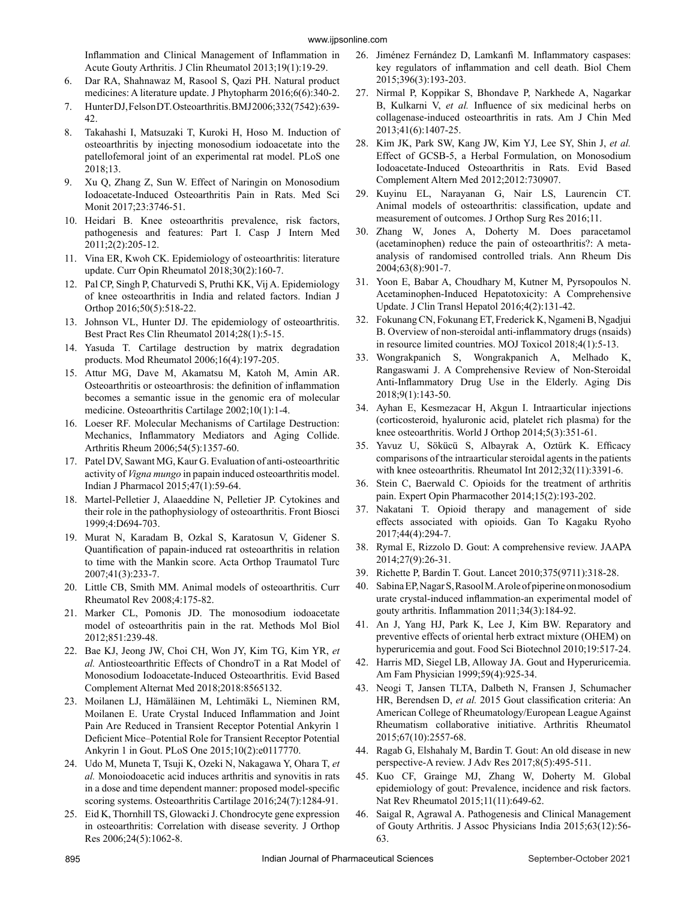Inflammation and Clinical Management of Inflammation in Acute Gouty Arthritis. J Clin Rheumatol 2013;19(1):19-29.

- 6. Dar RA, Shahnawaz M, Rasool S, Qazi PH. Natural product medicines: A literature update. J Phytopharm 2016;6(6):340-2.
- 7. Hunter DJ, Felson DT. Osteoarthritis. BMJ 2006;332(7542):639- 42.
- 8. Takahashi I, Matsuzaki T, Kuroki H, Hoso M. Induction of osteoarthritis by injecting monosodium iodoacetate into the patellofemoral joint of an experimental rat model. PLoS one 2018;13.
- 9. Xu Q, Zhang Z, Sun W. Effect of Naringin on Monosodium Iodoacetate-Induced Osteoarthritis Pain in Rats. Med Sci Monit 2017;23:3746-51.
- 10. Heidari B. Knee osteoarthritis prevalence, risk factors, pathogenesis and features: Part I. Casp J Intern Med 2011;2(2):205-12.
- 11. Vina ER, Kwoh CK. Epidemiology of osteoarthritis: literature update. Curr Opin Rheumatol 2018;30(2):160-7.
- 12. Pal CP, Singh P, Chaturvedi S, Pruthi KK, Vij A. Epidemiology of knee osteoarthritis in India and related factors. Indian J Orthop 2016;50(5):518-22.
- 13. Johnson VL, Hunter DJ. The epidemiology of osteoarthritis. Best Pract Res Clin Rheumatol 2014;28(1):5-15.
- 14. Yasuda T. Cartilage destruction by matrix degradation products. Mod Rheumatol 2006;16(4):197-205.
- 15. Attur MG, Dave M, Akamatsu M, Katoh M, Amin AR. Osteoarthritis or osteoarthrosis: the definition of inflammation becomes a semantic issue in the genomic era of molecular medicine. Osteoarthritis Cartilage 2002;10(1):1-4.
- 16. Loeser RF. Molecular Mechanisms of Cartilage Destruction: Mechanics, Inflammatory Mediators and Aging Collide. Arthritis Rheum 2006;54(5):1357-60.
- 17. Patel DV, Sawant MG, Kaur G. Evaluation of anti-osteoarthritic activity of *Vigna mungo* in papain induced osteoarthritis model. Indian J Pharmacol 2015;47(1):59-64.
- 18. Martel-Pelletier J, Alaaeddine N, Pelletier JP. Cytokines and their role in the pathophysiology of osteoarthritis. Front Biosci 1999;4:D694-703.
- 19. Murat N, Karadam B, Ozkal S, Karatosun V, Gidener S. Quantification of papain-induced rat osteoarthritis in relation to time with the Mankin score. Acta Orthop Traumatol Turc 2007;41(3):233-7.
- 20. Little CB, Smith MM. Animal models of osteoarthritis. Curr Rheumatol Rev 2008;4:175-82.
- 21. Marker CL, Pomonis JD. The monosodium iodoacetate model of osteoarthritis pain in the rat. Methods Mol Biol 2012;851:239-48.
- 22. Bae KJ, Jeong JW, Choi CH, Won JY, Kim TG, Kim YR, *et al.* Antiosteoarthritic Effects of ChondroT in a Rat Model of Monosodium Iodoacetate-Induced Osteoarthritis. Evid Based Complement Alternat Med 2018;2018:8565132.
- 23. Moilanen LJ, Hämäläinen M, Lehtimäki L, Nieminen RM, Moilanen E. Urate Crystal Induced Inflammation and Joint Pain Are Reduced in Transient Receptor Potential Ankyrin 1 Deficient Mice–Potential Role for Transient Receptor Potential Ankyrin 1 in Gout. PLoS One 2015;10(2):e0117770.
- 24. Udo M, Muneta T, Tsuji K, Ozeki N, Nakagawa Y, Ohara T, *et al.* Monoiodoacetic acid induces arthritis and synovitis in rats in a dose and time dependent manner: proposed model-specific scoring systems. Osteoarthritis Cartilage 2016;24(7):1284-91.
- 25. Eid K, Thornhill TS, Glowacki J. Chondrocyte gene expression in osteoarthritis: Correlation with disease severity. J Orthop Res 2006;24(5):1062-8.
- 26. Jiménez Fernández D, Lamkanfi M. Inflammatory caspases: key regulators of inflammation and cell death. Biol Chem 2015;396(3):193-203.
- 27. Nirmal P, Koppikar S, Bhondave P, Narkhede A, Nagarkar B, Kulkarni V, *et al.* Influence of six medicinal herbs on collagenase-induced osteoarthritis in rats. Am J Chin Med 2013;41(6):1407-25.
- 28. Kim JK, Park SW, Kang JW, Kim YJ, Lee SY, Shin J, *et al.* Effect of GCSB-5, a Herbal Formulation, on Monosodium Iodoacetate-Induced Osteoarthritis in Rats. Evid Based Complement Altern Med 2012;2012:730907.
- 29. Kuyinu EL, Narayanan G, Nair LS, Laurencin CT. Animal models of osteoarthritis: classification, update and measurement of outcomes. J Orthop Surg Res 2016;11.
- 30. Zhang W, Jones A, Doherty M. Does paracetamol (acetaminophen) reduce the pain of osteoarthritis?: A metaanalysis of randomised controlled trials. Ann Rheum Dis 2004;63(8):901-7.
- 31. Yoon E, Babar A, Choudhary M, Kutner M, Pyrsopoulos N. Acetaminophen-Induced Hepatotoxicity: A Comprehensive Update. J Clin Transl Hepatol 2016;4(2):131-42.
- 32. Fokunang CN, Fokunang ET, Frederick K, Ngameni B, Ngadjui B. Overview of non-steroidal anti-inflammatory drugs (nsaids) in resource limited countries. MOJ Toxicol 2018;4(1):5-13.
- 33. Wongrakpanich S, Wongrakpanich A, Melhado K, Rangaswami J. A Comprehensive Review of Non-Steroidal Anti-Inflammatory Drug Use in the Elderly. Aging Dis 2018;9(1):143-50.
- 34. Ayhan E, Kesmezacar H, Akgun I. Intraarticular injections (corticosteroid, hyaluronic acid, platelet rich plasma) for the knee osteoarthritis. World J Orthop 2014;5(3):351-61.
- 35. Yavuz U, Sökücü S, Albayrak A, Oztürk K. Efficacy comparisons of the intraarticular steroidal agents in the patients with knee osteoarthritis. Rheumatol Int 2012;32(11):3391-6.
- 36. Stein C, Baerwald C. Opioids for the treatment of arthritis pain. Expert Opin Pharmacother 2014;15(2):193-202.
- 37. Nakatani T. Opioid therapy and management of side effects associated with opioids. Gan To Kagaku Ryoho 2017;44(4):294-7.
- 38. Rymal E, Rizzolo D. Gout: A comprehensive review. JAAPA 2014;27(9):26-31.
- 39. Richette P, Bardin T. Gout. Lancet 2010;375(9711):318-28.
- 40. Sabina EP, Nagar S, Rasool M. A role of piperine on monosodium urate crystal-induced inflammation-an experimental model of gouty arthritis. Inflammation 2011;34(3):184-92.
- 41. An J, Yang HJ, Park K, Lee J, Kim BW. Reparatory and preventive effects of oriental herb extract mixture (OHEM) on hyperuricemia and gout. Food Sci Biotechnol 2010;19:517-24.
- 42. Harris MD, Siegel LB, Alloway JA. Gout and Hyperuricemia. Am Fam Physician 1999;59(4):925-34.
- 43. Neogi T, Jansen TLTA, Dalbeth N, Fransen J, Schumacher HR, Berendsen D, *et al.* 2015 Gout classification criteria: An American College of Rheumatology/European League Against Rheumatism collaborative initiative. Arthritis Rheumatol 2015;67(10):2557-68.
- 44. Ragab G, Elshahaly M, Bardin T. Gout: An old disease in new perspective-A review. J Adv Res 2017;8(5):495-511.
- 45. Kuo CF, Grainge MJ, Zhang W, Doherty M. Global epidemiology of gout: Prevalence, incidence and risk factors. Nat Rev Rheumatol 2015;11(11):649-62.
- 46. Saigal R, Agrawal A. Pathogenesis and Clinical Management of Gouty Arthritis. J Assoc Physicians India 2015;63(12):56- 63.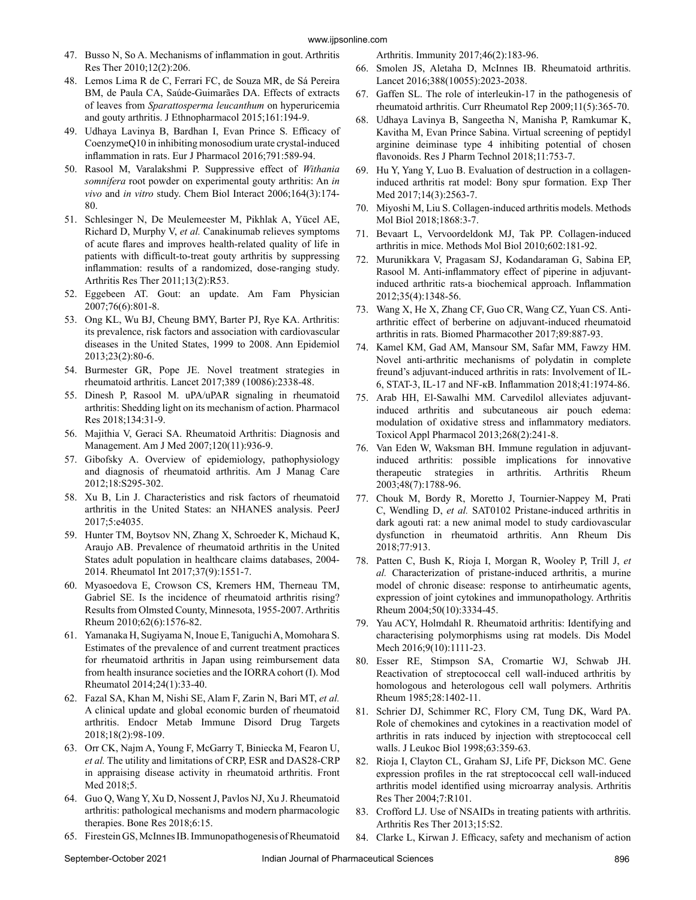- 47. Busso N, So A. Mechanisms of inflammation in gout. Arthritis Res Ther 2010;12(2):206.
- 48. Lemos Lima R de C, Ferrari FC, de Souza MR, de Sá Pereira BM, de Paula CA, Saúde-Guimarães DA. Effects of extracts of leaves from *Sparattosperma leucanthum* on hyperuricemia and gouty arthritis. J Ethnopharmacol 2015;161:194-9.
- 49. Udhaya Lavinya B, Bardhan I, Evan Prince S. Efficacy of CoenzymeQ10 in inhibiting monosodium urate crystal-induced inflammation in rats. Eur J Pharmacol 2016;791:589-94.
- 50. Rasool M, Varalakshmi P. Suppressive effect of *Withania somnifera* root powder on experimental gouty arthritis: An *in vivo* and *in vitro* study. Chem Biol Interact 2006;164(3):174- 80.
- 51. Schlesinger N, De Meulemeester M, Pikhlak A, Yücel AE, Richard D, Murphy V, *et al.* Canakinumab relieves symptoms of acute flares and improves health-related quality of life in patients with difficult-to-treat gouty arthritis by suppressing inflammation: results of a randomized, dose-ranging study. Arthritis Res Ther 2011;13(2):R53.
- 52. Eggebeen AT. Gout: an update. Am Fam Physician 2007;76(6):801-8.
- 53. Ong KL, Wu BJ, Cheung BMY, Barter PJ, Rye KA. Arthritis: its prevalence, risk factors and association with cardiovascular diseases in the United States, 1999 to 2008. Ann Epidemiol 2013;23(2):80-6.
- 54. Burmester GR, Pope JE. Novel treatment strategies in rheumatoid arthritis. Lancet 2017;389 (10086):2338-48.
- 55. Dinesh P, Rasool M. uPA/uPAR signaling in rheumatoid arthritis: Shedding light on its mechanism of action. Pharmacol Res 2018;134:31-9.
- 56. Majithia V, Geraci SA. Rheumatoid Arthritis: Diagnosis and Management. Am J Med 2007;120(11):936-9.
- 57. Gibofsky A. Overview of epidemiology, pathophysiology and diagnosis of rheumatoid arthritis. Am J Manag Care 2012;18:S295-302.
- 58. Xu B, Lin J. Characteristics and risk factors of rheumatoid arthritis in the United States: an NHANES analysis. PeerJ 2017;5:e4035.
- 59. Hunter TM, Boytsov NN, Zhang X, Schroeder K, Michaud K, Araujo AB. Prevalence of rheumatoid arthritis in the United States adult population in healthcare claims databases, 2004- 2014. Rheumatol Int 2017;37(9):1551-7.
- 60. Myasoedova E, Crowson CS, Kremers HM, Therneau TM, Gabriel SE. Is the incidence of rheumatoid arthritis rising? Results from Olmsted County, Minnesota, 1955-2007. Arthritis Rheum 2010;62(6):1576-82.
- 61. Yamanaka H, Sugiyama N, Inoue E, Taniguchi A, Momohara S. Estimates of the prevalence of and current treatment practices for rheumatoid arthritis in Japan using reimbursement data from health insurance societies and the IORRA cohort (I). Mod Rheumatol 2014;24(1):33-40.
- 62. Fazal SA, Khan M, Nishi SE, Alam F, Zarin N, Bari MT, *et al.* A clinical update and global economic burden of rheumatoid arthritis. Endocr Metab Immune Disord Drug Targets 2018;18(2):98-109.
- 63. Orr CK, Najm A, Young F, McGarry T, Biniecka M, Fearon U, *et al.* The utility and limitations of CRP, ESR and DAS28-CRP in appraising disease activity in rheumatoid arthritis. Front Med 2018;5.
- 64. Guo Q, Wang Y, Xu D, Nossent J, Pavlos NJ, Xu J. Rheumatoid arthritis: pathological mechanisms and modern pharmacologic therapies. Bone Res 2018;6:15.
- 65. Firestein GS, McInnes IB. Immunopathogenesis of Rheumatoid

Arthritis. Immunity 2017;46(2):183-96.

- 66. Smolen JS, Aletaha D, McInnes IB. Rheumatoid arthritis. Lancet 2016;388(10055):2023-2038.
- 67. Gaffen SL. The role of interleukin-17 in the pathogenesis of rheumatoid arthritis. Curr Rheumatol Rep 2009;11(5):365-70.
- 68. Udhaya Lavinya B, Sangeetha N, Manisha P, Ramkumar K, Kavitha M, Evan Prince Sabina. Virtual screening of peptidyl arginine deiminase type 4 inhibiting potential of chosen flavonoids. Res J Pharm Technol 2018;11:753-7.
- 69. Hu Y, Yang Y, Luo B. Evaluation of destruction in a collageninduced arthritis rat model: Bony spur formation. Exp Ther Med 2017;14(3):2563-7.
- 70. Miyoshi M, Liu S. Collagen-induced arthritis models. Methods Mol Biol 2018;1868:3-7.
- 71. Bevaart L, Vervoordeldonk MJ, Tak PP. Collagen-induced arthritis in mice. Methods Mol Biol 2010;602:181-92.
- 72. Murunikkara V, Pragasam SJ, Kodandaraman G, Sabina EP, Rasool M. Anti-inflammatory effect of piperine in adjuvantinduced arthritic rats-a biochemical approach. Inflammation 2012;35(4):1348-56.
- 73. Wang X, He X, Zhang CF, Guo CR, Wang CZ, Yuan CS. Antiarthritic effect of berberine on adjuvant-induced rheumatoid arthritis in rats. Biomed Pharmacother 2017;89:887-93.
- 74. Kamel KM, Gad AM, Mansour SM, Safar MM, Fawzy HM. Novel anti-arthritic mechanisms of polydatin in complete freund's adjuvant-induced arthritis in rats: Involvement of IL-6, STAT-3, IL-17 and NF-кB. Inflammation 2018;41:1974-86.
- 75. Arab HH, El-Sawalhi MM. Carvedilol alleviates adjuvantinduced arthritis and subcutaneous air pouch edema: modulation of oxidative stress and inflammatory mediators. Toxicol Appl Pharmacol 2013;268(2):241-8.
- 76. Van Eden W, Waksman BH. Immune regulation in adjuvantinduced arthritis: possible implications for innovative therapeutic strategies in arthritis. Arthritis Rheum 2003;48(7):1788-96.
- 77. Chouk M, Bordy R, Moretto J, Tournier-Nappey M, Prati C, Wendling D, *et al.* SAT0102 Pristane-induced arthritis in dark agouti rat: a new animal model to study cardiovascular dysfunction in rheumatoid arthritis. Ann Rheum Dis 2018;77:913.
- 78. Patten C, Bush K, Rioja I, Morgan R, Wooley P, Trill J, *et al.* Characterization of pristane-induced arthritis, a murine model of chronic disease: response to antirheumatic agents, expression of joint cytokines and immunopathology. Arthritis Rheum 2004;50(10):3334-45.
- 79. Yau ACY, Holmdahl R. Rheumatoid arthritis: Identifying and characterising polymorphisms using rat models. Dis Model Mech 2016;9(10):1111-23.
- 80. Esser RE, Stimpson SA, Cromartie WJ, Schwab JH. Reactivation of streptococcal cell wall-induced arthritis by homologous and heterologous cell wall polymers. Arthritis Rheum 1985;28:1402-11.
- 81. Schrier DJ, Schimmer RC, Flory CM, Tung DK, Ward PA. Role of chemokines and cytokines in a reactivation model of arthritis in rats induced by injection with streptococcal cell walls. J Leukoc Biol 1998;63:359-63.
- 82. Rioja I, Clayton CL, Graham SJ, Life PF, Dickson MC. Gene expression profiles in the rat streptococcal cell wall-induced arthritis model identified using microarray analysis. Arthritis Res Ther 2004;7:R101.
- 83. Crofford LJ. Use of NSAIDs in treating patients with arthritis. Arthritis Res Ther 2013;15:S2.
- 84. Clarke L, Kirwan J. Efficacy, safety and mechanism of action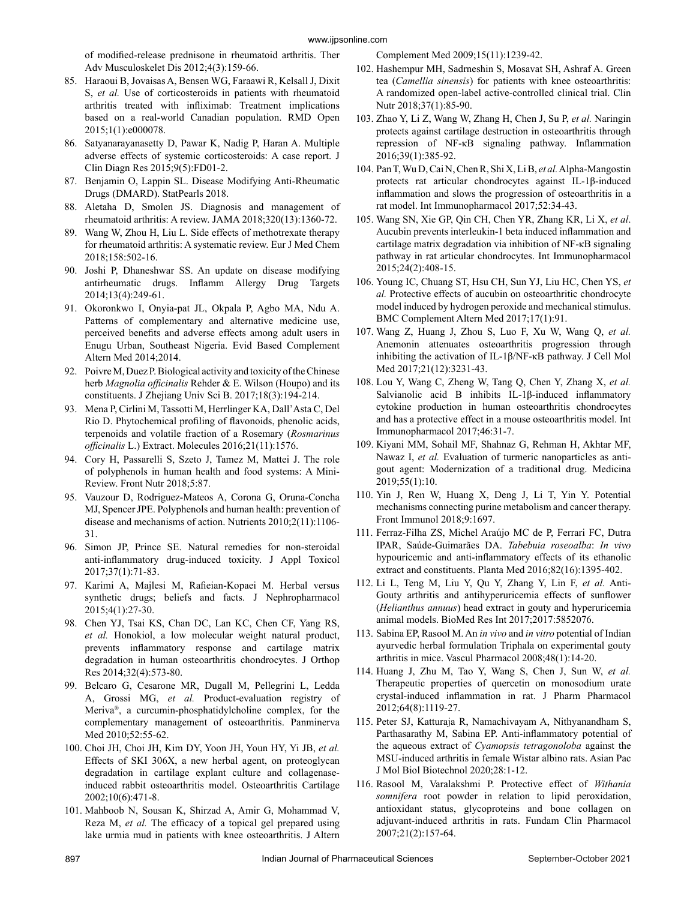of modified-release prednisone in rheumatoid arthritis. Ther Adv Musculoskelet Dis 2012;4(3):159-66.

- 85. Haraoui B, Jovaisas A, Bensen WG, Faraawi R, Kelsall J, Dixit S, *et al.* Use of corticosteroids in patients with rheumatoid arthritis treated with infliximab: Treatment implications based on a real-world Canadian population. RMD Open 2015;1(1):e000078.
- 86. Satyanarayanasetty D, Pawar K, Nadig P, Haran A. Multiple adverse effects of systemic corticosteroids: A case report. J Clin Diagn Res 2015;9(5):FD01-2.
- 87. Benjamin O, Lappin SL. Disease Modifying Anti-Rheumatic Drugs (DMARD). StatPearls 2018.
- 88. Aletaha D, Smolen JS. Diagnosis and management of rheumatoid arthritis: A review. JAMA 2018;320(13):1360-72.
- 89. Wang W, Zhou H, Liu L. Side effects of methotrexate therapy for rheumatoid arthritis: A systematic review. Eur J Med Chem 2018;158:502-16.
- 90. Joshi P, Dhaneshwar SS. An update on disease modifying antirheumatic drugs. Inflamm Allergy Drug Targets 2014;13(4):249-61.
- 91. Okoronkwo I, Onyia-pat JL, Okpala P, Agbo MA, Ndu A. Patterns of complementary and alternative medicine use, perceived benefits and adverse effects among adult users in Enugu Urban, Southeast Nigeria. Evid Based Complement Altern Med 2014;2014.
- 92. Poivre M, Duez P. Biological activity and toxicity of the Chinese herb *Magnolia officinalis* Rehder & E. Wilson (Houpo) and its constituents. J Zhejiang Univ Sci B. 2017;18(3):194-214.
- 93. Mena P, Cirlini M, Tassotti M, Herrlinger KA, Dall'Asta C, Del Rio D. Phytochemical profiling of flavonoids, phenolic acids, terpenoids and volatile fraction of a Rosemary (*Rosmarinus officinalis* L.) Extract. Molecules 2016;21(11):1576.
- 94. Cory H, Passarelli S, Szeto J, Tamez M, Mattei J. The role of polyphenols in human health and food systems: A Mini-Review. Front Nutr 2018;5:87.
- 95. Vauzour D, Rodriguez-Mateos A, Corona G, Oruna-Concha MJ, Spencer JPE. Polyphenols and human health: prevention of disease and mechanisms of action. Nutrients 2010;2(11):1106- 31.
- 96. Simon JP, Prince SE. Natural remedies for non-steroidal anti-inflammatory drug-induced toxicity. J Appl Toxicol 2017;37(1):71-83.
- 97. Karimi A, Majlesi M, Rafieian-Kopaei M. Herbal versus synthetic drugs; beliefs and facts. J Nephropharmacol 2015;4(1):27-30.
- 98. Chen YJ, Tsai KS, Chan DC, Lan KC, Chen CF, Yang RS, *et al.* Honokiol, a low molecular weight natural product, prevents inflammatory response and cartilage matrix degradation in human osteoarthritis chondrocytes. J Orthop Res 2014;32(4):573-80.
- 99. Belcaro G, Cesarone MR, Dugall M, Pellegrini L, Ledda A, Grossi MG, *et al.* Product-evaluation registry of Meriva®, a curcumin-phosphatidylcholine complex, for the complementary management of osteoarthritis. Panminerva Med 2010;52:55-62.
- 100. Choi JH, Choi JH, Kim DY, Yoon JH, Youn HY, Yi JB, *et al.* Effects of SKI 306X, a new herbal agent, on proteoglycan degradation in cartilage explant culture and collagenaseinduced rabbit osteoarthritis model. Osteoarthritis Cartilage 2002;10(6):471-8.
- 101. Mahboob N, Sousan K, Shirzad A, Amir G, Mohammad V, Reza M, *et al.* The efficacy of a topical gel prepared using lake urmia mud in patients with knee osteoarthritis. J Altern

Complement Med 2009;15(11):1239-42.

- 102. Hashempur MH, Sadrneshin S, Mosavat SH, Ashraf A. Green tea (*Camellia sinensis*) for patients with knee osteoarthritis: A randomized open-label active-controlled clinical trial. Clin Nutr 2018;37(1):85-90.
- 103. Zhao Y, Li Z, Wang W, Zhang H, Chen J, Su P, *et al.* Naringin protects against cartilage destruction in osteoarthritis through repression of NF-κB signaling pathway. Inflammation 2016;39(1):385-92.
- 104. Pan T, Wu D, Cai N, Chen R, Shi X, Li B, *et al.* Alpha-Mangostin protects rat articular chondrocytes against IL-1β-induced inflammation and slows the progression of osteoarthritis in a rat model. Int Immunopharmacol 2017;52:34-43.
- 105. Wang SN, Xie GP, Qin CH, Chen YR, Zhang KR, Li X, *et al*. Aucubin prevents interleukin-1 beta induced inflammation and cartilage matrix degradation via inhibition of NF-κB signaling pathway in rat articular chondrocytes. Int Immunopharmacol 2015;24(2):408-15.
- 106. Young IC, Chuang ST, Hsu CH, Sun YJ, Liu HC, Chen YS, *et al.* Protective effects of aucubin on osteoarthritic chondrocyte model induced by hydrogen peroxide and mechanical stimulus. BMC Complement Altern Med 2017;17(1):91.
- 107. Wang Z, Huang J, Zhou S, Luo F, Xu W, Wang Q, *et al.* Anemonin attenuates osteoarthritis progression through inhibiting the activation of IL-1β/NF-κB pathway. J Cell Mol Med 2017;21(12):3231-43.
- 108. Lou Y, Wang C, Zheng W, Tang Q, Chen Y, Zhang X, *et al.* Salvianolic acid B inhibits IL-1β-induced inflammatory cytokine production in human osteoarthritis chondrocytes and has a protective effect in a mouse osteoarthritis model. Int Immunopharmacol 2017;46:31-7.
- 109. Kiyani MM, Sohail MF, Shahnaz G, Rehman H, Akhtar MF, Nawaz I, *et al.* Evaluation of turmeric nanoparticles as antigout agent: Modernization of a traditional drug. Medicina 2019;55(1):10.
- 110. Yin J, Ren W, Huang X, Deng J, Li T, Yin Y. Potential mechanisms connecting purine metabolism and cancer therapy. Front Immunol 2018;9:1697.
- 111. Ferraz-Filha ZS, Michel Araújo MC de P, Ferrari FC, Dutra IPAR, Saúde-Guimarães DA. *Tabebuia roseoalba*: *In vivo* hypouricemic and anti-inflammatory effects of its ethanolic extract and constituents. Planta Med 2016;82(16):1395-402.
- 112. Li L, Teng M, Liu Y, Qu Y, Zhang Y, Lin F, *et al.* Anti-Gouty arthritis and antihyperuricemia effects of sunflower (*Helianthus annuus*) head extract in gouty and hyperuricemia animal models. BioMed Res Int 2017;2017:5852076.
- 113. Sabina EP, Rasool M. An *in vivo* and *in vitro* potential of Indian ayurvedic herbal formulation Triphala on experimental gouty arthritis in mice. Vascul Pharmacol 2008;48(1):14-20.
- 114. Huang J, Zhu M, Tao Y, Wang S, Chen J, Sun W, *et al.* Therapeutic properties of quercetin on monosodium urate crystal-induced inflammation in rat. J Pharm Pharmacol 2012;64(8):1119-27.
- 115. Peter SJ, Katturaja R, Namachivayam A, Nithyanandham S, Parthasarathy M, Sabina EP. Anti-inflammatory potential of the aqueous extract of *Cyamopsis tetragonoloba* against the MSU-induced arthritis in female Wistar albino rats. Asian Pac J Mol Biol Biotechnol 2020;28:1-12.
- 116. Rasool M, Varalakshmi P. Protective effect of *Withania somnifera* root powder in relation to lipid peroxidation, antioxidant status, glycoproteins and bone collagen on adjuvant-induced arthritis in rats. Fundam Clin Pharmacol 2007;21(2):157-64.